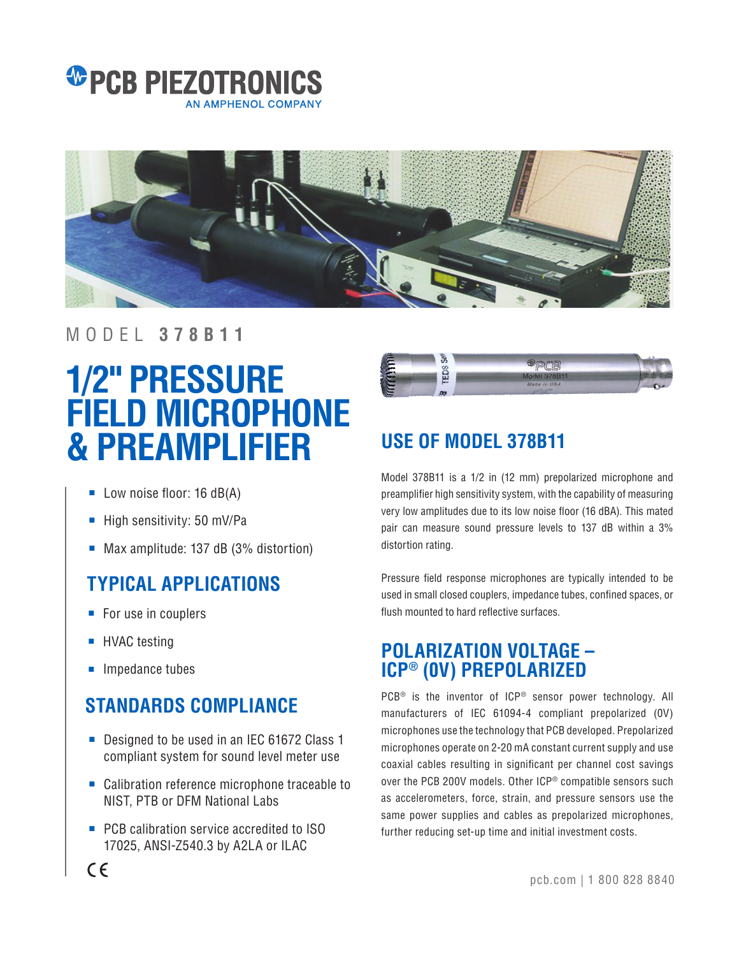



#### MODEL **378B11**

# **1/2" PRESSURE FIELD MICROPHONE & PREAMPLIFIER**

- Low noise floor: 16 dB(A)
- High sensitivity: 50 mV/Pa
- Max amplitude: 137 dB (3% distortion)

# **TYPICAL APPLICATIONS**

- For use in couplers
- HVAC testing
- Impedance tubes

## **STANDARDS COMPLIANCE**

- Designed to be used in an IEC 61672 Class 1 compliant system for sound level meter use
- Calibration reference microphone traceable to NIST, PTB or DFM National Labs
- PCB calibration service accredited to ISO 17025, ANSI-Z540.3 by A2LA or ILAC



# **USE OF MODEL 378B11**

Model 378B11 is a 1/2 in (12 mm) prepolarized microphone and preamplifier high sensitivity system, with the capability of measuring very low amplitudes due to its low noise floor (16 dBA). This mated pair can measure sound pressure levels to 137 dB within a 3% distortion rating.

Pressure field response microphones are typically intended to be used in small closed couplers, impedance tubes, confined spaces, or flush mounted to hard reflective surfaces.

### **POLARIZATION VOLTAGE – ICP® (0V) PREPOLARIZED**

PCB<sup>®</sup> is the inventor of ICP<sup>®</sup> sensor power technology. All manufacturers of IEC 61094-4 compliant prepolarized (0V) microphones use the technology that PCB developed. Prepolarized microphones operate on 2-20 mA constant current supply and use coaxial cables resulting in significant per channel cost savings over the PCB 200V models. Other ICP® compatible sensors such as accelerometers, force, strain, and pressure sensors use the same power supplies and cables as prepolarized microphones, further reducing set-up time and initial investment costs.